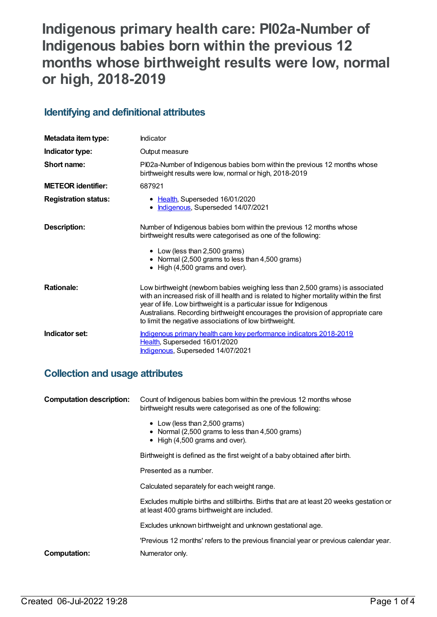# **Indigenous primary health care: PI02a-Number of Indigenous babies born within the previous 12 months whose birthweight results were low, normal or high, 2018-2019**

## **Identifying and definitional attributes**

| Metadata item type:         | Indicator                                                                                                                                                                                                                                                                                                                                                                                    |
|-----------------------------|----------------------------------------------------------------------------------------------------------------------------------------------------------------------------------------------------------------------------------------------------------------------------------------------------------------------------------------------------------------------------------------------|
| Indicator type:             | Output measure                                                                                                                                                                                                                                                                                                                                                                               |
| Short name:                 | PI02a-Number of Indigenous babies born within the previous 12 months whose<br>birthweight results were low, normal or high, 2018-2019                                                                                                                                                                                                                                                        |
| <b>METEOR identifier:</b>   | 687921                                                                                                                                                                                                                                                                                                                                                                                       |
| <b>Registration status:</b> | • Health, Superseded 16/01/2020<br>Indigenous, Superseded 14/07/2021<br>$\bullet$                                                                                                                                                                                                                                                                                                            |
| Description:                | Number of Indigenous babies born within the previous 12 months whose<br>birthweight results were categorised as one of the following:<br>• Low (less than 2,500 grams)<br>• Normal (2,500 grams to less than 4,500 grams)<br>• High (4,500 grams and over).                                                                                                                                  |
| <b>Rationale:</b>           | Low birthweight (newborn babies weighing less than 2,500 grams) is associated<br>with an increased risk of ill health and is related to higher mortality within the first<br>year of life. Low birthweight is a particular issue for Indigenous<br>Australians. Recording birthweight encourages the provision of appropriate care<br>to limit the negative associations of low birthweight. |
| Indicator set:              | Indigenous primary health care key performance indicators 2018-2019<br>Health, Superseded 16/01/2020<br>Indigenous, Superseded 14/07/2021                                                                                                                                                                                                                                                    |

## **Collection and usage attributes**

| <b>Computation description:</b> | Count of Indigenous babies born within the previous 12 months whose<br>birthweight results were categorised as one of the following:     |
|---------------------------------|------------------------------------------------------------------------------------------------------------------------------------------|
|                                 | • Low (less than 2,500 grams)<br>• Normal (2,500 grams to less than 4,500 grams)<br>$\bullet$ High (4,500 grams and over).               |
|                                 | Birthweight is defined as the first weight of a baby obtained after birth.                                                               |
|                                 | Presented as a number.                                                                                                                   |
|                                 | Calculated separately for each weight range.                                                                                             |
|                                 | Excludes multiple births and stillbirths. Births that are at least 20 weeks gestation or<br>at least 400 grams birthweight are included. |
|                                 | Excludes unknown birthweight and unknown gestational age.                                                                                |
|                                 | 'Previous 12 months' refers to the previous financial year or previous calendar year.                                                    |
| <b>Computation:</b>             | Numerator only.                                                                                                                          |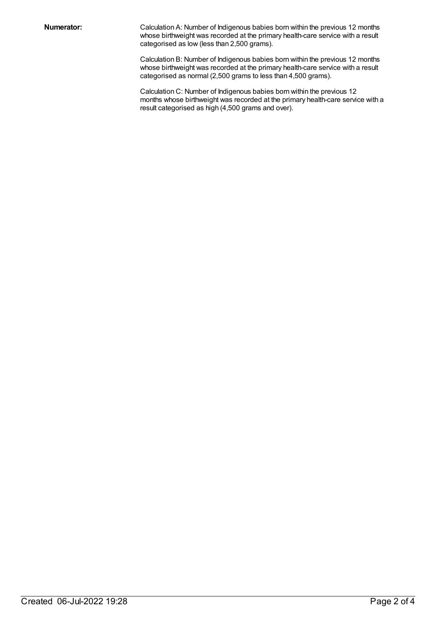**Numerator:** Calculation A: Number of Indigenous babies born within the previous 12 months whose birthweight was recorded at the primary health-care service with a result categorised as low (less than 2,500 grams).

> Calculation B: Number of Indigenous babies born within the previous 12 months whose birthweight was recorded at the primary health-care service with a result categorised as normal (2,500 grams to less than 4,500 grams).

Calculation C: Number of Indigenous babies born within the previous 12 months whose birthweight was recorded at the primary health-care service with a result categorised as high (4,500 grams and over).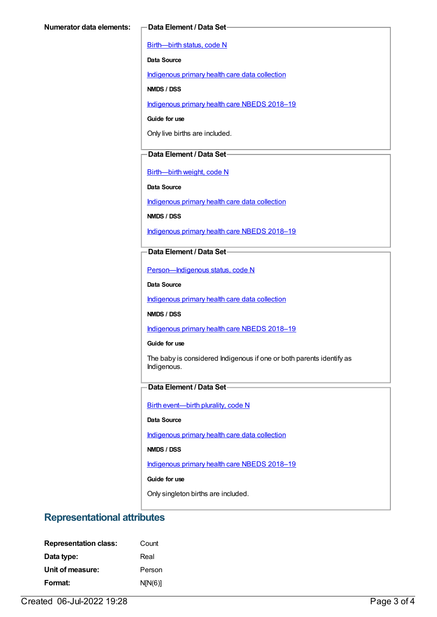[Birth—birth](https://meteor.aihw.gov.au/content/269949) status, code N

**Data Source**

[Indigenous](https://meteor.aihw.gov.au/content/430643) primary health care data collection

**NMDS / DSS**

[Indigenous](https://meteor.aihw.gov.au/content/694101) primary health care NBEDS 2018-19

**Guide for use**

Only live births are included.

## **Data Element / Data Set**

[Birth—birth](https://meteor.aihw.gov.au/content/459938) weight, code N

**Data Source**

[Indigenous](https://meteor.aihw.gov.au/content/430643) primary health care data collection

**NMDS / DSS**

[Indigenous](https://meteor.aihw.gov.au/content/694101) primary health care NBEDS 2018–19

**Data Element / Data Set**

[Person—Indigenous](https://meteor.aihw.gov.au/content/602543) status, code N

**Data Source**

[Indigenous](https://meteor.aihw.gov.au/content/430643) primary health care data collection

**NMDS / DSS**

[Indigenous](https://meteor.aihw.gov.au/content/694101) primary health care NBEDS 2018-19

#### **Guide for use**

The baby is considered Indigenous if one or both parents identify as Indigenous.

### **Data Element / Data Set**

Birth [event—birth](https://meteor.aihw.gov.au/content/668881) plurality, code N

#### **Data Source**

[Indigenous](https://meteor.aihw.gov.au/content/430643) primary health care data collection

**NMDS / DSS**

[Indigenous](https://meteor.aihw.gov.au/content/694101) primary health care NBEDS 2018-19

#### **Guide for use**

Only singleton births are included.

## **Representational attributes**

| <b>Representation class:</b> | Count   |
|------------------------------|---------|
| Data type:                   | Real    |
| Unit of measure:             | Person  |
| Format:                      | N[N(6)] |